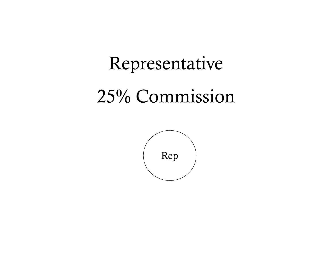## Representative 25% Commission

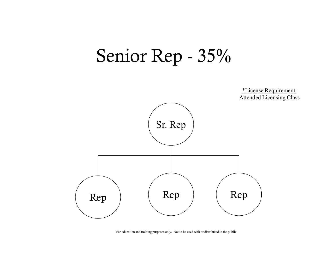# Senior Rep - 35%

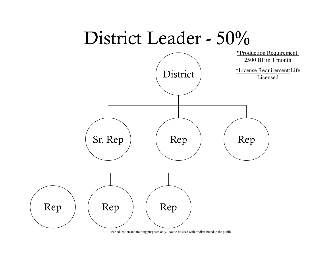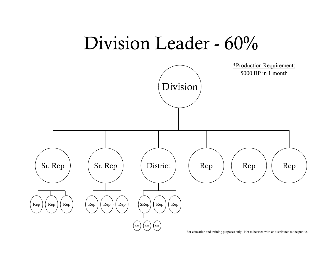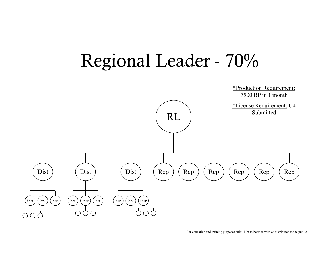# Regional Leader - 70%